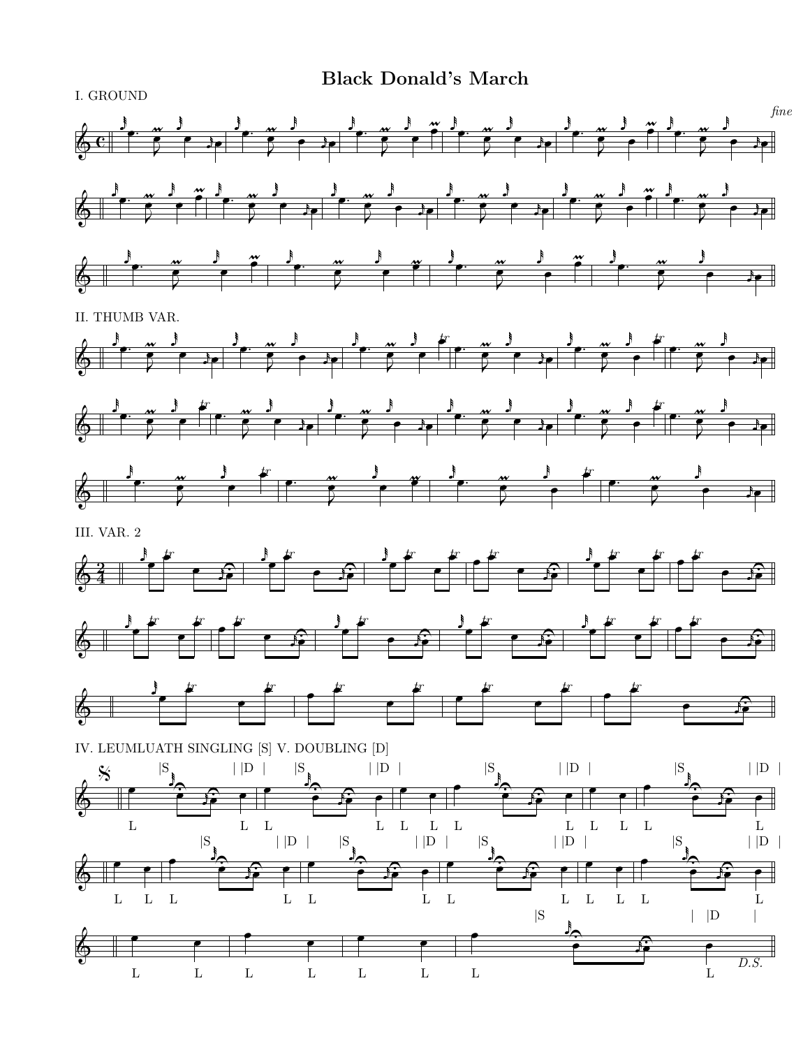**Black Donald's March**



I. GROUND